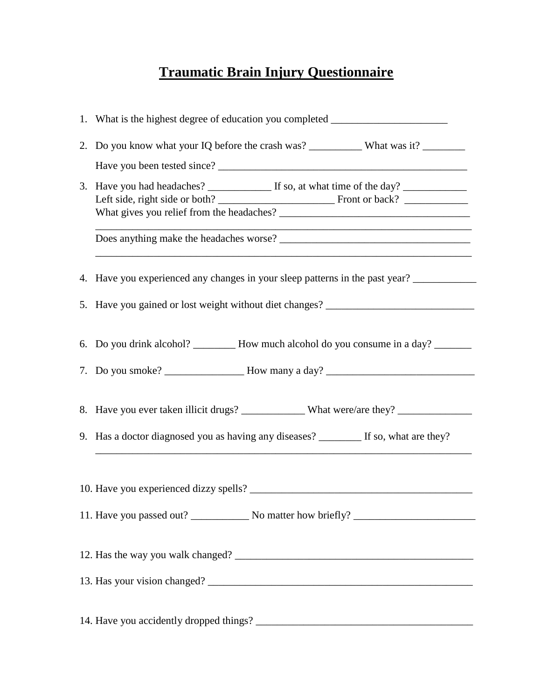## **Traumatic Brain Injury Questionnaire**

|  | 1. What is the highest degree of education you completed _______________________     |
|--|--------------------------------------------------------------------------------------|
|  |                                                                                      |
|  |                                                                                      |
|  |                                                                                      |
|  |                                                                                      |
|  | 4. Have you experienced any changes in your sleep patterns in the past year?         |
|  | 5. Have you gained or lost weight without diet changes? ________________________     |
|  | 6. Do you drink alcohol? _________ How much alcohol do you consume in a day? _______ |
|  |                                                                                      |
|  |                                                                                      |
|  | 9. Has a doctor diagnosed you as having any diseases? _______ If so, what are they?  |
|  |                                                                                      |
|  |                                                                                      |
|  |                                                                                      |
|  |                                                                                      |
|  |                                                                                      |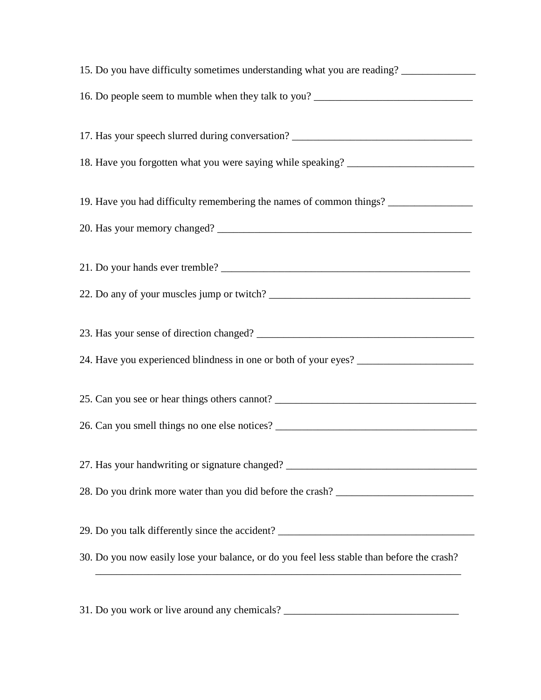| 15. Do you have difficulty sometimes understanding what you are reading? ______________                                                                                                                              |
|----------------------------------------------------------------------------------------------------------------------------------------------------------------------------------------------------------------------|
| 16. Do people seem to mumble when they talk to you? _____________________________                                                                                                                                    |
| 17. Has your speech slurred during conversation? _______________________________                                                                                                                                     |
| 18. Have you forgotten what you were saying while speaking? ____________________                                                                                                                                     |
| 19. Have you had difficulty remembering the names of common things? ____________                                                                                                                                     |
|                                                                                                                                                                                                                      |
|                                                                                                                                                                                                                      |
|                                                                                                                                                                                                                      |
|                                                                                                                                                                                                                      |
| 24. Have you experienced blindness in one or both of your eyes? _________________                                                                                                                                    |
| 25. Can you see or hear things others cannot? ___________________________________                                                                                                                                    |
|                                                                                                                                                                                                                      |
| 27. Has your handwriting or signature changed? __________________________________                                                                                                                                    |
| 28. Do you drink more water than you did before the crash? ______________________                                                                                                                                    |
| 29. Do you talk differently since the accident? ________________________________                                                                                                                                     |
| 30. Do you now easily lose your balance, or do you feel less stable than before the crash?<br><u> 1989 - Johann Stoff, deutscher Stoffen und der Stoffen und der Stoffen und der Stoffen und der Stoffen und der</u> |
|                                                                                                                                                                                                                      |
| 31. Do you work or live around any chemicals? __________________________________                                                                                                                                     |